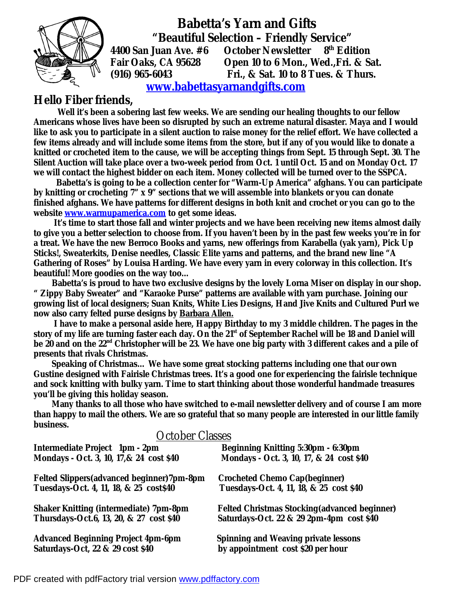

 **Babetta's Yarn and Gifts "Beautiful Selection – Friendly Service" 4400 San Juan Ave. #6 October Newsletter 8th Edition** 

**Fair Oaks, CA 95628 Open 10 to 6 Mon., Wed.,Fri. & Sat. (916) 965-6043 Fri., & Sat. 10 to 8 Tues. & Thurs.** 

## **[www.babettasyarnandgifts.com](http://www.babettasyarnandgifts.com)**

## **Hello Fiber friends,**

 **Well it's been a sobering last few weeks. We are sending our healing thoughts to our fellow Americans whose lives have been so disrupted by such an extreme natural disaster. Maya and I would**  like to ask you to participate in a silent auction to raise money for the relief effort. We have collected a few items already and will include some items from the store, but if any of you would like to donate a knitted or crocheted item to the cause, we will be accepting things from Sept. 15 through Sept. 30. The **Silent Auction will take place over a two-week period from Oct. 1 until Oct. 15 and on Monday Oct. 17 we will contact the highest bidder on each item. Money collected will be turned over to the SSPCA.** 

 **Babetta's is going to be a collection center for "Warm-Up America" afghans. You can participate by knitting or crocheting 7" x 9" sections that we will assemble into blankets or you can donate finished afghans. We have patterns for different designs in both knit and crochet or you can go to the website [www.warmupamerica.com](http://www.warmupamerica.com) to get some ideas.** 

**It's time to start those fall and winter projects and we have been receiving new items almost daily**  to give you a better selection to choose from. If you haven't been by in the past few weeks you're in for **a treat. We have the new Berroco Books and yarns, new offerings from Karabella (yak yarn), Pick Up Sticks!, Sweaterkits, Denise needles, Classic Elite yarns and patterns, and the brand new line "A Gathering of Roses" by Louisa Harding. We have every yarn in every colorway in this collection. It's beautiful! More goodies on the way too…** 

Babetta's is proud to have two exclusive designs by the lovely Lorna Miser on display in our shop. **" Zippy Baby Sweater" and "Karaoke Purse" patterns are available with yarn purchase. Joining our growing list of local designers; Suan Knits, White Lies Designs, Hand Jive Knits and Cultured Purl we now also carry felted purse designs by Barbara Allen.**

I have to make a personal aside here, Happy Birthday to my 3 middle children. The pages in the story of my life are turning faster each day. On the 21<sup>st</sup> of September Rachel will be 18 and Daniel will be 20 and on the 22<sup>nd</sup> Christopher will be 23. We have one big party with 3 different cakes and a pile of **presents that rivals Christmas.** 

**Speaking of Christmas… We have some great stocking patterns including one that our own Gustine designed with Fairisle Christmas trees. It's a good one for experiencing the fairisle technique and sock knitting with bulky yarn. Time to start thinking about those wonderful handmade treasures you'll be giving this holiday season.** 

 **Many thanks to all those who have switched to e-mail newsletter delivery and of course I am more**  than happy to mail the others. We are so grateful that so many people are interested in our little family **business.** 

| <b>October Classes</b>                        |                                                      |
|-----------------------------------------------|------------------------------------------------------|
| <b>Intermediate Project 1pm - 2pm</b>         | <b>Beginning Knitting 5:30pm - 6:30pm</b>            |
| Mondays - Oct. 3, 10, 17, & 24 cost \$40      | Mondays - Oct. 3, 10, 17, & 24 cost \$40             |
| Felted Slippers (advanced beginner) 7pm-8pm   | <b>Crocheted Chemo Cap(beginner)</b>                 |
| Tuesdays-Oct. 4, 11, 18, & 25 cost\$40        | Tuesdays-Oct. 4, 11, 18, & 25 cost \$40              |
| <b>Shaker Knitting (intermediate) 7pm-8pm</b> | <b>Felted Christmas Stocking (advanced beginner)</b> |
| Thursdays-Oct.6, 13, 20, & 27 cost \$40       | Saturdays-Oct. 22 & 29 2pm-4pm cost \$40             |
| <b>Advanced Beginning Project 4pm-6pm</b>     | <b>Spinning and Weaving private lessons</b>          |
| Saturdays-Oct, 22 & 29 cost \$40              | by appointment cost \$20 per hour                    |

## PDF created with pdfFactory trial version [www.pdffactory.com](http://www.pdffactory.com)